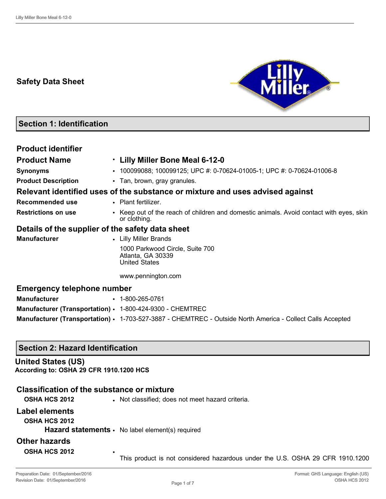# **Safety Data Sheet**



# **Section 1: Identification**

| <b>Product identifier</b>                                 |                                                                                                            |  |  |  |
|-----------------------------------------------------------|------------------------------------------------------------------------------------------------------------|--|--|--|
| <b>Product Name</b>                                       | . Lilly Miller Bone Meal 6-12-0                                                                            |  |  |  |
| <b>Synonyms</b>                                           | • 100099088; 100099125; UPC #: 0-70624-01005-1; UPC #: 0-70624-01006-8                                     |  |  |  |
| <b>Product Description</b>                                | • Tan, brown, gray granules.                                                                               |  |  |  |
|                                                           | Relevant identified uses of the substance or mixture and uses advised against                              |  |  |  |
| <b>Recommended use</b>                                    | • Plant fertilizer.                                                                                        |  |  |  |
| <b>Restrictions on use</b>                                | • Keep out of the reach of children and domestic animals. Avoid contact with eyes, skin<br>or clothing.    |  |  |  |
| Details of the supplier of the safety data sheet          |                                                                                                            |  |  |  |
| <b>Manufacturer</b><br>• Lilly Miller Brands              |                                                                                                            |  |  |  |
|                                                           | 1000 Parkwood Circle, Suite 700<br>Atlanta, GA 30339<br><b>United States</b>                               |  |  |  |
|                                                           | www.pennington.com                                                                                         |  |  |  |
| <b>Emergency telephone number</b>                         |                                                                                                            |  |  |  |
| <b>Manufacturer</b>                                       | $\cdot$ 1-800-265-0761                                                                                     |  |  |  |
| Manufacturer (Transportation) · 1-800-424-9300 - CHEMTREC |                                                                                                            |  |  |  |
|                                                           | Manufacturer (Transportation) · 1-703-527-3887 - CHEMTREC - Outside North America - Collect Calls Accepted |  |  |  |

## **Section 2: Hazard Identification**

### **United States (US) According to: OSHA 29 CFR 1910.1200 HCS**

# **Classification of the substance or mixture**

| <b>OSHA HCS 2012</b> | • Not classified; does not meet hazard criteria.                              |
|----------------------|-------------------------------------------------------------------------------|
| Label elements       |                                                                               |
| <b>OSHA HCS 2012</b> |                                                                               |
|                      | <b>Hazard statements <math>\cdot</math></b> No label element(s) required      |
| <b>Other hazards</b> |                                                                               |
| <b>OSHA HCS 2012</b> | This product is not considered hazardous under the U.S. OSHA 29 CFR 1910.1200 |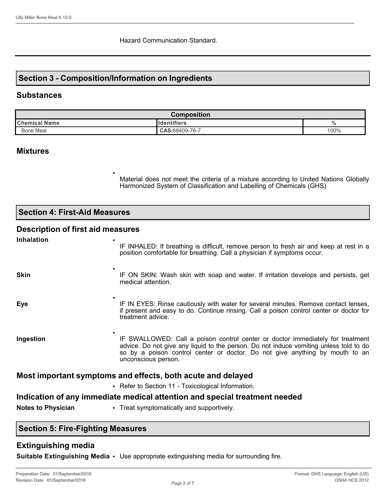## **Section 3 - Composition/Information on Ingredients**

•

### **Substances**

| <b>Composition</b>   |                      |          |
|----------------------|----------------------|----------|
| <b>Chemical Name</b> | <b>I</b> Identifiers | 0/<br>70 |
| <b>Bone Meal</b>     | $CAS:68409-76-7$     | 100%     |

### **Mixtures**

Material does not meet the criteria of a mixture according to United Nations Globally Harmonized System of Classification and Labelling of Chemicals (GHS)

**Section 4: First-Aid Measures**

## **Description of first aid measures**

| <b>Inhalation</b>                                                          | IF INHALED: If breathing is difficult, remove person to fresh air and keep at rest in a<br>position comfortable for breathing. Call a physician if symptoms occur.                                                                                                              |  |  |
|----------------------------------------------------------------------------|---------------------------------------------------------------------------------------------------------------------------------------------------------------------------------------------------------------------------------------------------------------------------------|--|--|
| <b>Skin</b>                                                                | IF ON SKIN: Wash skin with soap and water. If irritation develops and persists, get<br>medical attention.                                                                                                                                                                       |  |  |
| <b>Eye</b>                                                                 | IF IN EYES: Rinse cautiously with water for several minutes. Remove contact lenses,<br>if present and easy to do. Continue rinsing. Call a poison control center or doctor for<br>treatment advice.                                                                             |  |  |
| Ingestion                                                                  | IF SWALLOWED: Call a poison control center or doctor immediately for treatment<br>advice. Do not give any liquid to the person. Do not induce vomiting unless told to do<br>so by a poison control center or doctor. Do not give anything by mouth to an<br>unconscious person. |  |  |
| Most important symptoms and effects, both acute and delayed                |                                                                                                                                                                                                                                                                                 |  |  |
|                                                                            | • Refer to Section 11 - Toxicological Information.                                                                                                                                                                                                                              |  |  |
| Indication of any immediate medical attention and special treatment needed |                                                                                                                                                                                                                                                                                 |  |  |
| <b>Notes to Physician</b>                                                  | • Treat symptomatically and supportively.                                                                                                                                                                                                                                       |  |  |

# **Section 5: Fire-Fighting Measures**

## **Extinguishing media**

**Suitable Extinguishing Media** • Use appropriate extinguishing media for surrounding fire.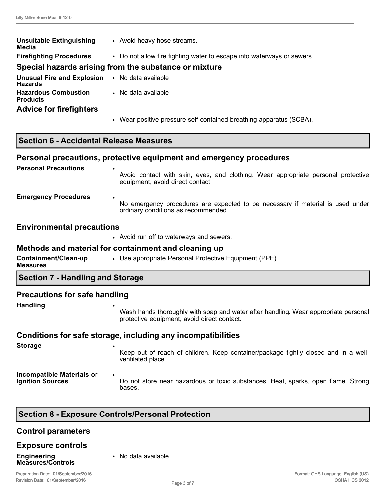| <b>Unsuitable Extinguishing</b><br>Media                         | • Avoid heavy hose streams.                                            |  |  |
|------------------------------------------------------------------|------------------------------------------------------------------------|--|--|
| <b>Firefighting Procedures</b>                                   | • Do not allow fire fighting water to escape into waterways or sewers. |  |  |
|                                                                  | Special hazards arising from the substance or mixture                  |  |  |
| <b>Unusual Fire and Explosion • No data available</b><br>Hazards |                                                                        |  |  |
| <b>Hazardous Combustion</b><br><b>Products</b>                   | • No data available                                                    |  |  |
| <b>Advice for firefighters</b>                                   |                                                                        |  |  |
|                                                                  | • Wear positive pressure self-contained breathing apparatus (SCBA).    |  |  |

### **Section 6 - Accidental Release Measures**

#### **Personal precautions, protective equipment and emergency procedures**

| <b>Personal Precautions</b> | $\bullet$<br>Avoid contact with skin, eyes, and clothing. Wear appropriate personal protective<br>equipment, avoid direct contact. |
|-----------------------------|------------------------------------------------------------------------------------------------------------------------------------|
| <b>Emergency Procedures</b> | $\bullet$<br>No emergency procedures are expected to be necessary if material is used under<br>ordinary conditions as recommended. |

#### **Environmental precautions**

• Avoid run off to waterways and sewers.

#### **Methods and material for containment and cleaning up**

| Containment/Clean-up<br><b>Measures</b> | • Use appropriate Personal Protective Equipment (PPE). |
|-----------------------------------------|--------------------------------------------------------|
|                                         |                                                        |

### **Section 7 - Handling and Storage**

#### **Precautions for safe handling**

**Handling** •

Wash hands thoroughly with soap and water after handling. Wear appropriate personal protective equipment, avoid direct contact.

#### **Conditions for safe storage, including any incompatibilities**

**Storage** • Keep out of reach of children. Keep container/package tightly closed and in a wellventilated place. **Incompatible Materials or Ignition Sources** • Do not store near hazardous or toxic substances. Heat, sparks, open flame. Strong bases.

## **Section 8 - Exposure Controls/Personal Protection**

# **Control parameters**

#### **Exposure controls**

**Engineering Measures/Controls** • No data available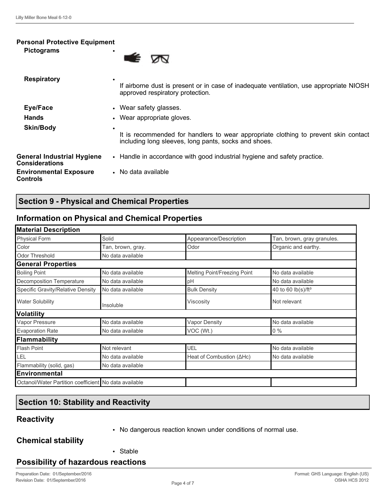#### **Personal Protective Equipment**

| <b>Pictograms</b> |  |
|-------------------|--|
|                   |  |



# **Section 9 - Physical and Chemical Properties**

## **Information on Physical and Chemical Properties**

| <b>Material Description</b><br><b>Physical Form</b>   | Solid             | Appearance/Description       | Tan, brown, gray granules.     |
|-------------------------------------------------------|-------------------|------------------------------|--------------------------------|
| Color                                                 | Tan, brown, gray. | Odor                         | Organic and earthy.            |
| <b>Odor Threshold</b>                                 | No data available |                              |                                |
| <b>General Properties</b>                             |                   |                              |                                |
| <b>Boiling Point</b>                                  | No data available | Melting Point/Freezing Point | No data available              |
| Decomposition Temperature                             | No data available | pH                           | No data available              |
| Specific Gravity/Relative Density                     | No data available | <b>Bulk Density</b>          | 40 to 60 lb(s)/ft <sup>3</sup> |
| <b>Water Solubility</b>                               | Insoluble         | Viscositv                    | Not relevant                   |
| <b>Volatility</b>                                     |                   |                              |                                |
| Vapor Pressure                                        | No data available | <b>Vapor Density</b>         | No data available              |
| <b>Evaporation Rate</b>                               | No data available | VOC (Wt.)                    | $0\%$                          |
| Flammability                                          |                   |                              |                                |
| <b>Flash Point</b>                                    | Not relevant      | UEL                          | No data available              |
| LEL                                                   | No data available | Heat of Combustion (AHc)     | No data available              |
| Flammability (solid, gas)                             | No data available |                              |                                |
| <b>Environmental</b>                                  |                   |                              |                                |
| Octanol/Water Partition coefficient No data available |                   |                              |                                |

# **Section 10: Stability and Reactivity**

## **Reactivity**

- 
- No dangerous reaction known under conditions of normal use.

**Chemical stability**

• Stable

## **Possibility of hazardous reactions**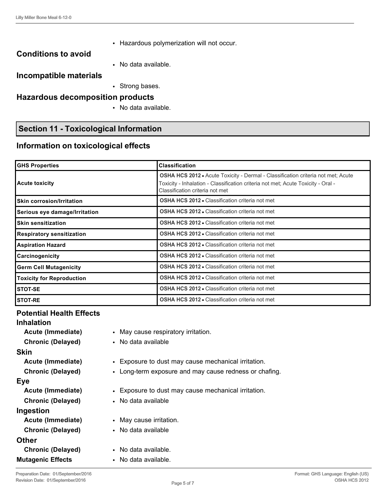• Hazardous polymerization will not occur.

# **Conditions to avoid**

• No data available.

### **Incompatible materials**

• Strong bases.

### **Hazardous decomposition products**

• No data available.

## **Section 11 - Toxicological Information**

## **Information on toxicological effects**

| <b>GHS Properties</b>                                                                      | <b>Classification</b>                                                                                                                                                                                          |  |  |
|--------------------------------------------------------------------------------------------|----------------------------------------------------------------------------------------------------------------------------------------------------------------------------------------------------------------|--|--|
| <b>Acute toxicity</b>                                                                      | <b>OSHA HCS 2012 •</b> Acute Toxicity - Dermal - Classification criteria not met; Acute<br>Toxicity - Inhalation - Classification criteria not met; Acute Toxicity - Oral -<br>Classification criteria not met |  |  |
| <b>OSHA HCS 2012 • Classification criteria not met</b><br><b>Skin corrosion/Irritation</b> |                                                                                                                                                                                                                |  |  |
| Serious eye damage/Irritation                                                              | <b>OSHA HCS 2012 • Classification criteria not met</b>                                                                                                                                                         |  |  |
| <b>Skin sensitization</b>                                                                  | <b>OSHA HCS 2012 • Classification criteria not met</b>                                                                                                                                                         |  |  |
| <b>Respiratory sensitization</b>                                                           | <b>OSHA HCS 2012 • Classification criteria not met</b>                                                                                                                                                         |  |  |
| <b>Aspiration Hazard</b>                                                                   | <b>OSHA HCS 2012 • Classification criteria not met</b>                                                                                                                                                         |  |  |
| Carcinogenicity                                                                            | <b>OSHA HCS 2012 • Classification criteria not met</b>                                                                                                                                                         |  |  |
| <b>Germ Cell Mutagenicity</b>                                                              | <b>OSHA HCS 2012 • Classification criteria not met</b>                                                                                                                                                         |  |  |
| <b>Toxicity for Reproduction</b>                                                           | <b>OSHA HCS 2012 • Classification criteria not met</b>                                                                                                                                                         |  |  |
| STOT-SE                                                                                    | <b>OSHA HCS 2012 • Classification criteria not met</b>                                                                                                                                                         |  |  |
| <b>STOT-RE</b>                                                                             | <b>OSHA HCS 2012 • Classification criteria not met</b>                                                                                                                                                         |  |  |

### **Potential Health Effects**

## **Inhalation**

- **Chronic (Delayed)** No data available **Skin Eye Chronic (Delayed)** • No data available **Ingestion Acute (Immediate)** • May cause irritation. **Chronic (Delayed)** • No data available **Other Chronic (Delayed)** • No data available. **Mutagenic Effects** • No data available.
- **Acute (Immediate)** May cause respiratory irritation.
	-
	-
	- **Acute (Immediate)** Exposure to dust may cause mechanical irritation.
	- **Chronic (Delayed)** Long-term exposure and may cause redness or chafing.
	- **Acute (Immediate)** Exposure to dust may cause mechanical irritation.
		-
		-
		-
		-
		-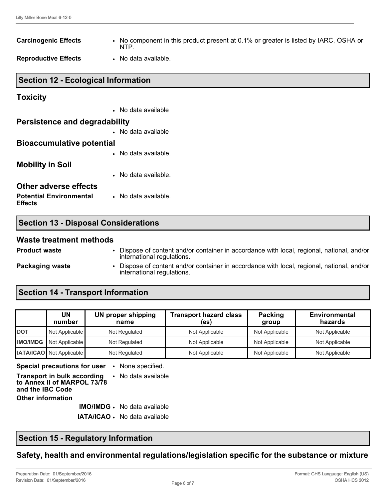| <b>Carcinogenic Effects</b>                | • No component in this product present at 0.1% or greater is listed by IARC, OSHA or<br>NTP. |  |  |
|--------------------------------------------|----------------------------------------------------------------------------------------------|--|--|
| <b>Reproductive Effects</b>                | • No data available.                                                                         |  |  |
| <b>Section 12 - Ecological Information</b> |                                                                                              |  |  |
| <b>Toxicity</b>                            |                                                                                              |  |  |
|                                            | • No data available                                                                          |  |  |

## **Persistence and degradability** • No data available

### **Bioaccumulative potential**

• No data available.

# **Mobility in Soil**

• No data available.

### **Other adverse effects**

**Potential Environmental Effects** • No data available.

|  | <b>Section 13 - Disposal Considerations</b> |
|--|---------------------------------------------|
|  |                                             |

### **Waste treatment methods**

**Product waste** • Dispose of content and/or container in accordance with local, regional, national, and/or international regulations.

**Packaging waste • Dispose of content and/or container in accordance with local, regional, national, and/or** international regulations.

# **Section 14 - Transport Information**

|            | <b>UN</b><br>number             | UN proper shipping<br>name | <b>Transport hazard class</b><br>(es) | Packing<br>group | <b>Environmental</b><br>hazards |
|------------|---------------------------------|----------------------------|---------------------------------------|------------------|---------------------------------|
| <b>DOT</b> | Not Applicable                  | Not Regulated              | Not Applicable                        | Not Applicable   | Not Applicable                  |
|            | <b>IMO/IMDG</b> Not Applicable  | Not Regulated              | Not Applicable                        | Not Applicable   | Not Applicable                  |
|            | <b>IATA/ICAO</b> Not Applicable | Not Regulated              | Not Applicable                        | Not Applicable   | Not Applicable                  |

**Special precautions for user** • None specified.

**Transport in bulk according to Annex II of MARPOL 73/78 and the IBC Code** • No data available **Other information IMO/IMDG** • No data available

**IATA/ICAO** • No data available

# **Section 15 - Regulatory Information**

**Safety, health and environmental regulations/legislation specific for the substance or mixture**